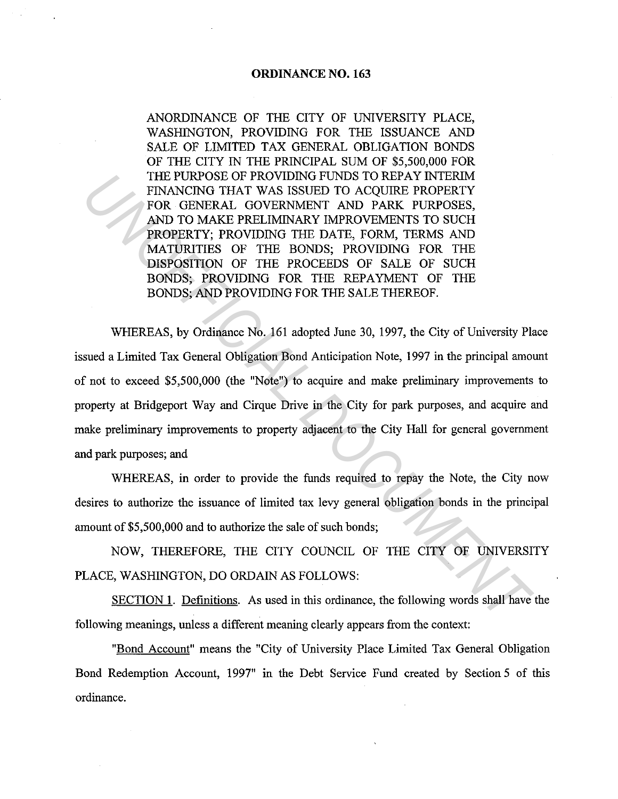# **ORDINANCE NO. 163**

ANORDINANCE OF THE CITY OF UNIVERSITY PLACE, WASHINGTON, PROVIDING FOR THE ISSUANCE AND SALE OF LIMITED TAX GENERAL OBLIGATION BONDS OF THE CITY IN THE PRINCIPAL SUM OF \$5,500,000 FOR THE PURPOSE OF PROVIDING FUNDS TO REPAY INTERIM FINANCING THAT WAS ISSUED TO ACQUIRE PROPERTY FOR GENERAL GOVERNMENT AND PARK PURPOSES, AND TO MAKE PRELIMINARY IMPROVEMENTS TO SUCH PROPERTY; PROVIDING THE DATE, FORM, TERMS AND MATURITIES OF THE BONDS; PROVIDING FOR THE DISPOSITION OF THE PROCEEDS OF SALE OF SUCH BONDS; PROVIDING FOR THE REPAYMENT OF THE BONDS; AND PROVIDING FOR THE SALE THEREOF.

WHEREAS, by Ordinance No. 161 adopted June 30, 1997, the City of University Place issued a Limited Tax General Obligation Bond Anticipation Note, 1997 in the principal amount of not to exceed \$5,500,000 (the "Note") to acquire and make preliminary improvements to property at Bridgeport Way and Cirque Drive in the City for park purposes, and acquire and make preliminary improvements to property adjacent to the City Hall for general government and park purposes; and **THE PURPOSE OF PROVIDING FUNDS TO REPAY INTERIAL CONSERVENT FOR GENERAL GOVERNMENT AND PARK PURPOSES,**<br>*UNANCING THAT WAS ISSUED TO ACQUIRE PROPERTY***<br><b>***UND TO MARK PRELIMINARY INPROVEMENTS TO SUCH AND DOMARY PROVEMENTS O* 

WHEREAS, in order to provide the funds required to repay the Note, the City now desires to authorize the issuance of limited tax levy general obligation bonds in the principal amount of \$5,500,000 and to authorize the sale of such bonds;

NOW, THEREFORE, THE CITY COUNCIL OF THE CITY OF UNIVERSITY PLACE, WASHINGTON, DO ORDAIN AS FOLLOWS:

SECTION 1. Definitions. As used in this ordinance, the following words shall have the following meanings, unless a different meaning clearly appears from the context:

"Bond Account" means the "City of University Place Limited Tax General Obligation Bond Redemption Account, 1997" in the Debt Service Fund created by Section 5 of this ordinance.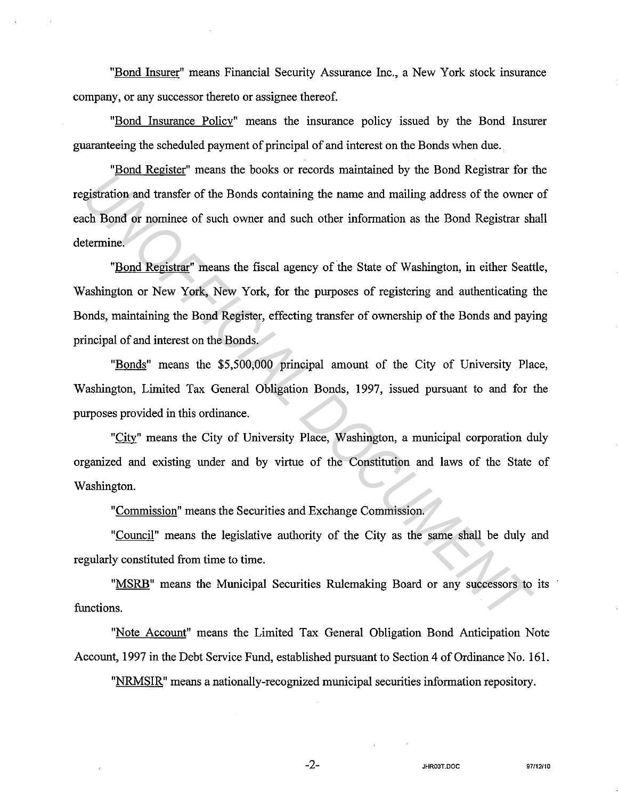"Bond Insurer" means Financial Security Assurance Inc., a New York stock insurance company, or any successor thereto or assignee thereof.

"Bond Insurance Policy" means the insurance policy issued by the Bond Insurer guaranteeing the scheduled payment of principal of and interest on the Bonds when due.

"Bond Register" means the books or records maintained by the Bond Registrar for the registration and transfer of the Bonds containing the name and mailing address of the owner of each Bond or nominee of such owner and such other information as the Bond Registrar shall determine.

"Bond Registrar" means the fiscal agency of the State of Washington, in either Seattle, Washington or New York, New York, for the purposes of registering and authenticating the Bonds, maintaining the Bond Register, effecting transfer of ownership of the Bonds and paying principal of and interest on the Bonds. **Example 18 and 18 and 18 and 18 and 18 and 18 and 18 and 18 and 18 and 18 and 18 and 18 and 18 and 18 and 18 and 18 and 18 and 18 and 18 and 18 and 18 and 18 and 18 and 18 and 18 and 18 and 18 and 18 and 18 and 18 and 18** 

"Bonds" means the \$5,500,000 principal amount of the City of University Place, Washington, Limited Tax General Obligation Bonds, 1997, issued pursuant to and for the purposes provided in this ordinance.

"City" means the City of University Place, Washington, a municipal corporation duly organized and existing under and by virtue of the Constitution and laws of the State of Washington.

"Commission" means the Securities and Exchange Commission.

"Council" means the legislative authority of the City as the same shall be duly and regularly constituted from time to time.

"MSRB" means the Municipal Securities Rulemaking Board or any successors to its functions.

"Note Account" means the Limited Tax General Obligation Bond Anticipation Note Account, 1997 in the Debt Service Fund, established pursuant to Section 4 of Ordinance No. 161.

"NRMSIR" means a nationally-recognized municipal securities information repository.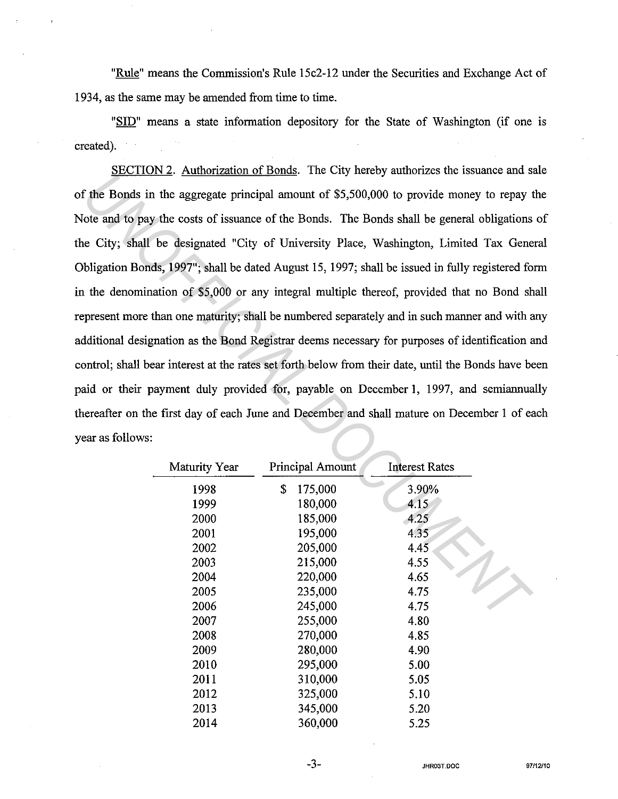"Rule" means the Commission's Rule 15c2-12 under the Securities and Exchange Act of 1934, as the same may be amended from time to time.

"SID" means a state information depository for the State of Washington (if one is created).

SECTION 2. Authorization of Bonds. The City hereby authorizes the issuance and sale of the Bonds in the aggregate principal amount of \$5,500,000 to provide money to repay the Note and to pay the costs of issuance of the Bonds. The Bonds shall be general obligations of the City; shall be designated "City of University Place, Washington, Limited Tax General Obligation Bonds, 1997"; shall be dated August 15, 1997; shall be issued in fully registered form in the denomination of \$5,000 or any integral multiple thereof, provided that no Bond shall represent more than one maturity; shall be numbered separately and in such manner and with any additional designation as the Bond Registrar deems necessary for purposes of identification and control; shall bear interest at the rates set forth below from their date, until the Bonds have been paid or their payment duly provided for, payable on December 1, 1997, and semiannually thereafter on the first day of each June and December and shall mature on December 1 of each year as follows: *Unionisate ministantial* and the S5,500,000 to provide money to ready<br>
in the Bonds in the aggregate principal amount of \$5,500,000 to provide money to repay to<br>
to the Bonds of issuance of the Bonds. The Bonds shall be g

| Maturity Year | Principal Amount | <b>Interest Rates</b> |  |
|---------------|------------------|-----------------------|--|
| 1998          | \$<br>175,000    | 3.90%                 |  |
| 1999          | 180,000          | 4.15                  |  |
| 2000          | 185,000          | 4.25                  |  |
| 2001          | 195,000          | 4.35                  |  |
| 2002          | 205,000          | 445                   |  |
| 2003          | 215,000          | 4.55                  |  |
| 2004          | 220,000          | 4.65                  |  |
| 2005          | 235,000          | 4.75                  |  |
| 2006          | 245,000          | 4.75                  |  |
| 2007          | 255,000          | 4.80                  |  |
| 2008          | 270,000          | 4.85                  |  |
| 2009          | 280,000          | 4.90                  |  |
| 2010          | 295,000          | 5.00                  |  |
| 2011          | 310,000          | 5.05                  |  |
| 2012          | 325,000          | 5.10                  |  |
| 2013          | 345,000          | 5.20                  |  |
| 2014          | 360,000          | 5.25                  |  |

-3-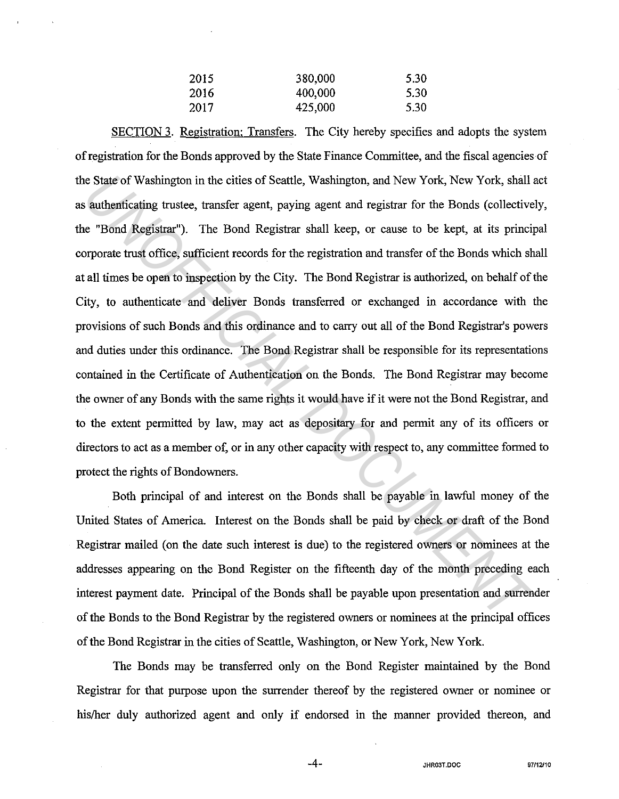| 2015 | 380,000 | 5.30 |
|------|---------|------|
| 2016 | 400,000 | 5.30 |
| 2017 | 425,000 | 5.30 |

SECTION 3. Registration; Transfers. The City hereby specifies and adopts the system of registration for the Bonds approved by the State Finance Committee, and the fiscal agencies of the State of Washington in the cities of Seattle, Washington, and New York, New York, shall act as authenticating trustee, transfer agent, paying agent and registrar for the Bonds (collectively, the "Bond Registrar"). The Bond Registrar shall keep, or cause to be kept, at its principal corporate trust office, sufficient records for the registration and transfer of the Bonds which shall at all times be open to inspection by the City. The Bond Registrar is authorized, on behalf of the City, to authenticate and deliver Bonds transferred or exchanged in accordance with the provisions of such Bonds and this ordinance and to carry out all of the Bond Registrar's powers and duties under this ordinance. The Bond Registrar shall be responsible for its representations contained in the Certificate of Authentication on the Bonds. The Bond Registrar may become the owner of any Bonds with the same rights it would have if it were not the Bond Registrar, and to the extent permitted by law, may act as depositary for and permit any of its officers or directors to act as a member of, or in any other capacity with respect to, any committee formed to protect the rights of Bondowners. ie State of Washington in the cities of Seattle, Washington, and New York, New York, shall a autherticating trustee, transfer agent, paying agent and registrar for the Bonds (collective c "Bond Registrar"). The Bond Regist

Both principal of and interest on the Bonds shall be payable in lawful money of the United States of America. Interest on the Bonds shall be paid by check or draft of the Bond Registrar mailed (on the date such interest is due) to the registered owners or nominees at the addresses appearing on the Bond Register on the fifteenth day of the month preceding each interest payment date. Principal of the Bonds shall be payable upon presentation and surrender of the Bonds to the Bond Registrar by the registered owners or nominees at the principal offices of the Bond Registrar in the cities of Seattle, Washington, or New York, New York.

The Bonds may be transferred only on the Bond Register maintained by the Bond Registrar for that purpose upon the surrender thereof by the registered owner or nominee or his/her duly authorized agent and only if endorsed in the manner provided thereon, and

-4- **JHR03T.DOC 97/12110**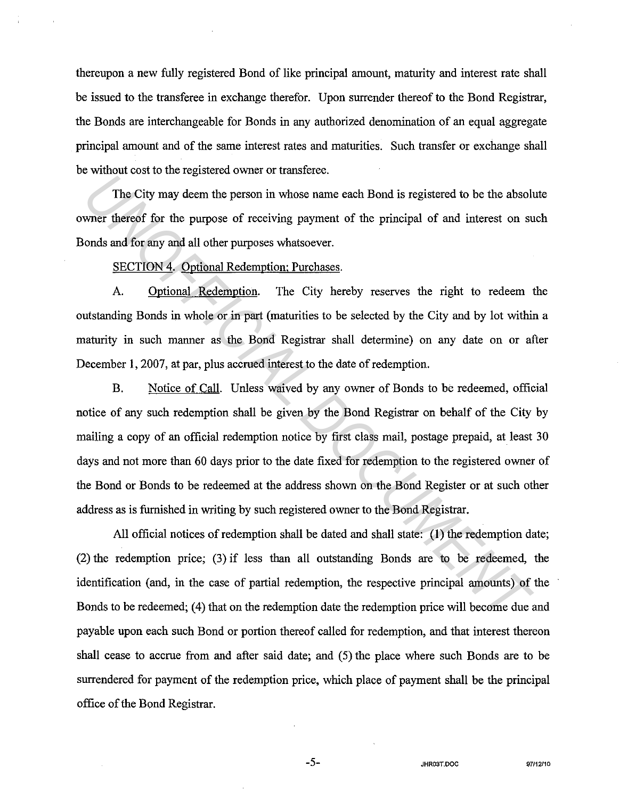thereupon a new fully registered Bond of like principal amount, maturity and interest rate shall be issued to the transferee in exchange therefor. Upon surrender thereof to the Bond Registrar, the Bonds are interchangeable for Bonds in any authorized denomination of an equal aggregate principal amount and of the same interest rates and maturities. Such transfer or exchange shall be without cost to the registered owner or transferee.

The City may deem the person in whose name each Bond is registered to be the absolute owner thereof for the purpose of receiving payment of the principal of and interest on such Bonds and for any and all other purposes whatsoever.

## SECTION 4. Optional Redemption: Purchases.

A. Optional Redemption. The City hereby reserves the right to redeem the outstanding Bonds in whole or in part (maturities to be selected by the City and by lot within a maturity in such manner as the Bond Registrar shall determine) on any date on or after December 1, 2007, at par, plus accrued interest to the date of redemption.

B. Notice of Call. Unless waived by any owner of Bonds to be redeemed, official notice of any such redemption shall be given by the Bond Registrar on behalf of the City by mailing a copy of an official redemption notice by first class mail, postage prepaid, at least 30 days and not more than 60 days prior to the date fixed for redemption to the registered owner of the Bond or Bonds to be redeemed at the address shown on the Bond Register or at such other address as is furnished in writing by such registered owner to the Bond Registrar. The City may degenere be person in whose name each Bond is registered to be the absolute thereof for the purpose of receiving payment of the principal of and interest on subonds and for any and all other purposes whatsoeve

All official notices of redemption shall be dated and shall state: (1) the redemption date; (2) the redemption price; (3) if less than all outstanding Bonds are to be redeemed, the identification (and, in the case of partial redemption, the respective principal amounts) of the Bonds to be redeemed; (4) that on the redemption date the redemption price will become due and payable upon each such Bond or portion thereof called for redemption, and that interest thereon shall cease to accrue from and after said date; and (S) the place where such Bonds are to be surrendered for payment of the redemption price, which place of payment shall be the principal office of the Bond Registrar.

-5- **JHR03T.OOC 97112110**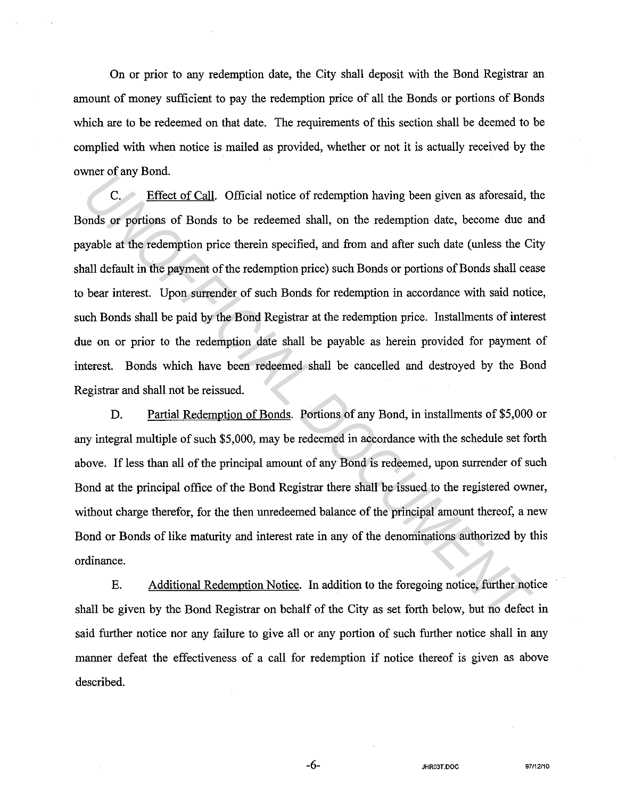On or prior to any redemption date, the City shall deposit with the Bond Registrar an amount of money sufficient to pay the redemption price of all the Bonds or portions of Bonds which are to be redeemed on that date. The requirements of this section shall be deemed to be complied with when notice is mailed as provided, whether or not it is actually received by the owner of any Bond.

C. Effect of Call. Official notice of redemption having been given as aforesaid, the Bonds or portions of Bonds to be redeemed shall, on the redemption date, become due and payable at the redemption price therein specified, and from and after such date (unless the City shall default in the payment of the redemption price) such Bonds or portions of Bonds shall cease to bear interest. Upon surrender of such Bonds for redemption in accordance with said notice, such Bonds shall be paid by the Bond Registrar at the redemption price. Installments of interest due on or prior to the redemption date shall be payable as herein provided for payment of interest. Bonds which have been redeemed shall be cancelled and destroyed by the Bond Registrar and shall not be reissued. *U.* Effect of Call. Official notice of redemption having been given as aforessid, <br> *U.* Effect of Call. Official notice of redemption having been given as aforessid, <br>
and a the redemption price therein specified, and fr

D. Partial Redemption of Bonds. Portions of any Bond, in installments of \$5,000 or any integral multiple of such \$5,000, may be redeemed in accordance with the schedule set forth above. If less than all of the principal amount of any Bond is redeemed, upon surrender of such Bond at the principal office of the Bond Registrar there shall be issued to the registered owner, without charge therefor, for the then unredeemed balance of the principal amount thereof, a new Bond or Bonds of like maturity and interest rate in any of the denominations authorized by this ordinance.

E. Additional Redemption Notice. In addition to the foregoing notice, further notice shall be given by the Bond Registrar on behalf of the City as set forth below, but no defect in said further notice nor any failure to give all or any portion of such further notice shall in any manner defeat the effectiveness of a call for redemption if notice thereof is given as above described.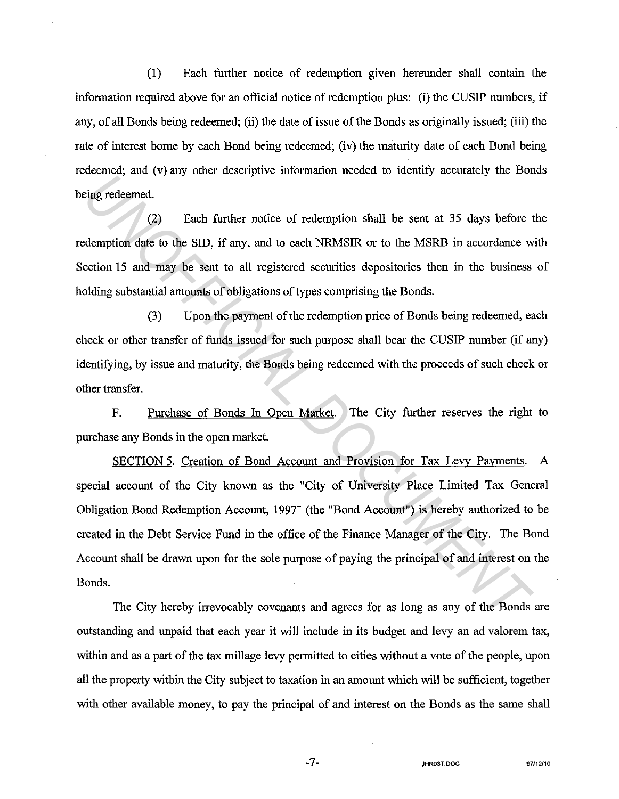(1) Each further notice of redemption given hereunder shall contain the information required above for an official notice of redemption plus: (i) the CUSIP numbers, if any, of all Bonds being redeemed; (ii) the date of issue of the Bonds as originally issued; (iii) the rate of interest borne by each Bond being redeemed; (iv) the maturity date of each Bond being redeemed; and (v) any other descriptive information needed to identify accurately the Bonds being redeemed.

(2) Each further notice of redemption shall be sent at 35 days before the redemption date to the SID, if any, and to each NRMSIR or to the MSRB in accordance with Section 15 and may be sent to all registered securities depositories then in the business of holding substantial amounts of obligations of types comprising the Bonds.

(3) Upon the payment of the redemption price of Bonds being redeemed, each check or other transfer of funds issued for such purpose shall bear the CUSIP number (if any) identifying, by issue and maturity, the Bonds being redeemed with the proceeds of such check or other transfer.

F. Purchase of Bonds In Open Market. The City further reserves the right to purchase any Bonds in the open market.

SECTION 5. Creation of Bond Account and Provision for Tax Levy Payments. A special account of the City known as the "City of University Place Limited Tax General Obligation Bond Redemption Account, 1997" (the "Bond Account") is hereby authorized to be created in the Debt Service Fund in the office of the Finance Manager of the City. The Bond Account shall be drawn upon for the sole purpose of paying the principal of and interest on the Bonds. **Example 10** The UNITY of the Hand the Constrained Constant Constant Constant Constant Constant Constant Constant Constant Constant Constant Constant Constant Constant Constant Constant Constant Constant Constant Documenta

The City hereby irrevocably covenants and agrees for as long as any of the Bonds are outstanding and unpaid that each year it will include in its budget and levy an ad valorem tax, within and as a part of the tax millage levy permitted to cities without a vote of the people, upon all the property within the City subject to taxation in an amount which will be sufficient, together with other available money, to pay the principal of and interest on the Bonds as the same shall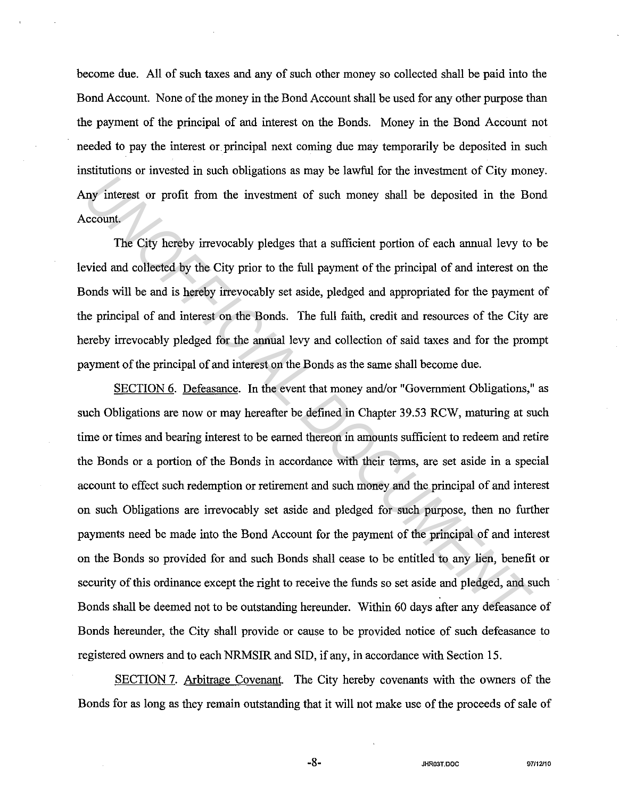become due. All of such taxes and any of such other money so collected shall be paid into the Bond Account. None of the money in the Bond Account shall be used for any other purpose than the payment of the principal of and interest on the Bonds. Money in the Bond Account not needed to pay the interest or principal next coming due may temporarily be deposited in such institutions or invested in such obligations as may be lawful for the investment of City money. Any interest or profit from the investment of such money shall be deposited in the Bond Account.

The City hereby irrevocably pledges that a sufficient portion of each annual levy to be levied and collected by the City prior to the full payment of the principal of and interest on the Bonds will be and is hereby irrevocably set aside, pledged and appropriated for the payment of the principal of and interest on the Bonds. The full faith, credit and resources of the City are hereby irrevocably pledged for the annual levy and collection of said taxes and for the prompt payment of the principal of and interest on the Bonds as the same shall become due.

SECTION 6. Defeasance. In the event that money and/or "Government Obligations," as such Obligations are now or may hereafter be defined in Chapter 39.53 RCW, maturing at such time or times and bearing interest to be earned thereon in amounts sufficient to redeem and retire the Bonds or a portion of the Bonds in accordance with their terms, are set aside in a special account to effect such redemption or retirement and such money and the principal of and interest on such Obligations are irrevocably set aside and pledged for such purpose, then no further payments need be made into the Bond Account for the payment of the principal of and interest on the Bonds so provided for and such Bonds shall cease to be entitled to any lien, benefit or security of this ordinance except the right to receive the funds so set aside and pledged, and such Bonds shall be deemed not to be outstanding hereunder. Within 60 days after any defeasance of Bonds hereunder, the City shall provide or cause to be provided notice of such defeasance to registered owners and to each NRMSIR and SID, if any, in accordance with Section 15. *UNARER TERNATE CONFIDED AS A TERNATE AT A CONFIDENCE OF A TERNATE AT A TERNATE OF PART AND IDENTIFICAT THE City hereby irrevocably pledges that a sufficient portion of each annual levy to orived and collected by the City* 

SECTION 7. Arbitrage Covenant. The City hereby covenants with the owners of the Bonds for as long as they remain outstanding that it will not make use of the proceeds of sale of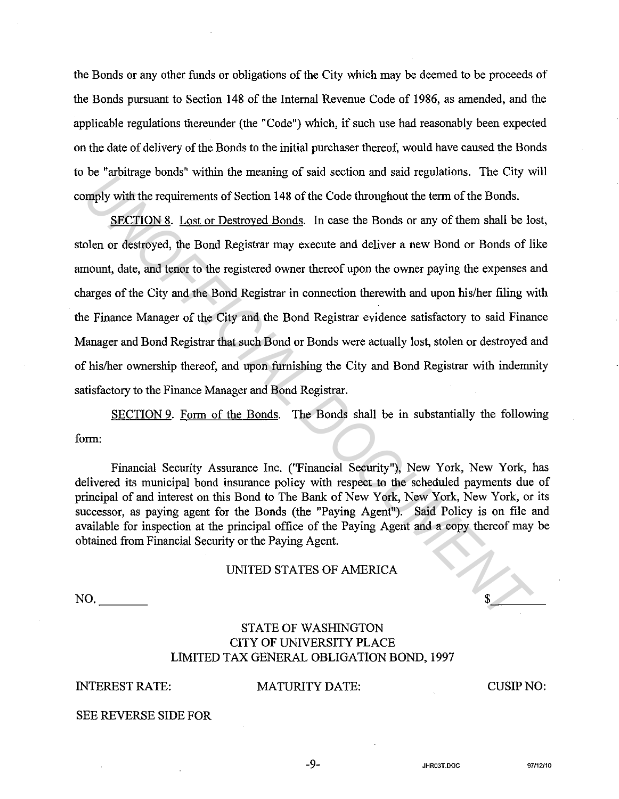the Bonds or any other funds or obligations of the City which may be deemed to be proceeds of the Bonds pursuant to Section 148 of the Internal Revenue Code of 1986, as amended, and the applicable regulations thereunder (the "Code") which, if such use had reasonably been expected on the date of delivery of the Bonds to the initial purchaser thereof, would have caused the Bonds to be "arbitrage bonds" within the meaning of said section and said regulations. The City will comply with the requirements of Section 148 of the Code throughout the term of the Bonds.

SECTION 8. Lost or Destroyed Bonds. In case the Bonds or any of them shall be lost, stolen or destroyed, the Bond Registrar may execute and deliver a new Bond or Bonds of like amount, date, and tenor to the registered owner thereof upon the owner paying the expenses and charges of the City and the Bond Registrar in connection therewith and upon his/her filing with the Finance Manager of the City and the Bond Registrar evidence satisfactory to said Finance Manager and Bond Registrar that such Bond or Bonds were actually lost, stolen or destroyed and of his/her ownership thereof, and upon furnishing the City and Bond Registrar with indemnity satisfactory to the Finance Manager and Bond Registrar. *Use althouge bonds* whill the incaling of salt scation and salt regulations. The Cry with the requirements of Section 148 of the Code throughout the term of the Bonds.<br>
SECTION 8. Lost or Destroyed Bonds. In case the Bond

SECTION 9. Form of the Bonds. The Bonds shall be in substantially the following form:

Financial Security Assurance Inc. ("Financial Security"), New York, New York, has delivered its municipal bond insurance policy with respect to the scheduled payments due of principal of and interest on this Bond to The Bank of New York, New York, New York, or its successor, as paying agent for the Bonds (the "Paying Agent"). Said Policy is on file and available for inspection at the principal office of the Paying Agent and a copy thereof may be obtained from Financial Security or the Paying Agent.

#### UNITED STATES OF AMERICA

# STATE OF WASHINGTON CITY OF UNIVERSITY PLACE LIMITED TAX GENERAL OBLIGATION BOND, 1997

# INTEREST RATE: MATURITY DATE:

CUSIPNO:

 $\frac{1}{2}$ 

SEE REVERSE SIDE FOR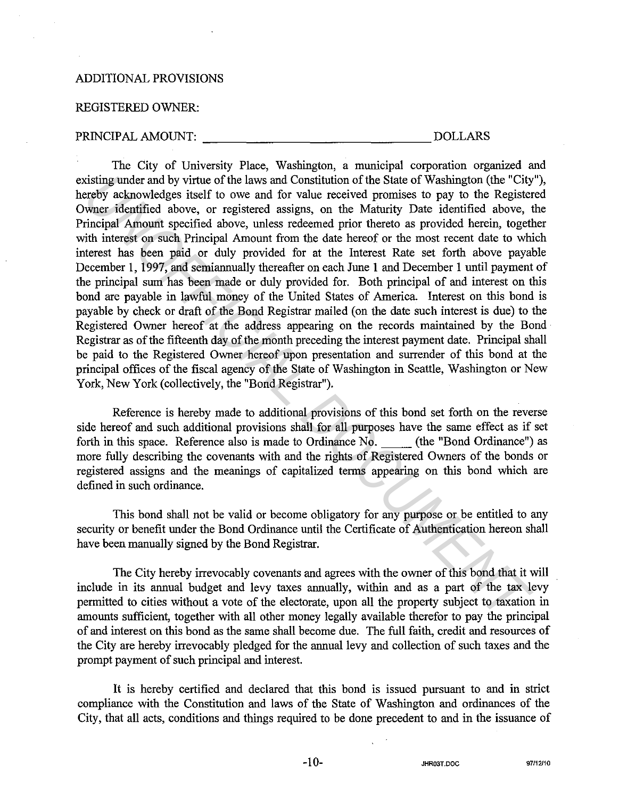## ADDITIONAL PROVISIONS

## REGISTERED OWNER:

#### PRINCIPAL AMOUNT: DOLLARS

The City of University Place, Washington, a municipal corporation organized and existing under and by virtue of the laws and Constitution of the State of Washington (the "City"), hereby acknowledges itself to owe and for value received promises to pay to the Registered Owner identified above, or registered assigns, on the Maturity Date identified above, the Principal Amount specified above, unless redeemed prior thereto as provided herein, together with interest on such Principal Amount from the date hereof or the most recent date to which interest has been paid or duly provided for at the Interest Rate set forth above payable December 1, 1997, and semiannually thereafter on each June 1 and December 1 until payment of the principal sum has been made or duly provided for. Both principal of and interest on this bond are payable in lawful money of the United States of America. Interest on this bond is payable by check or draft of the Bond Registrar mailed (on the date such interest is due) to the Registered Owner hereof at the address appearing on the records maintained by the Bond Registrar as of the fifteenth day of the month preceding the interest payment date. Principal shall be paid to the Registered Owner hereof upon presentation and surrender of this bond at the principal offices of the fiscal agency of the State of Washington in Seattle, Washington or New York, New York (collectively, the "Bond Registrar"). cisting under and by virtue of the laws and Constitution of the State of Washington (the "City<br>retwork achovel despite to over and for value received promises to pay to the Register<br>are activated above, unter identified ab

Reference is hereby made to additional provisions of this bond set forth on the reverse side hereof and such additional provisions shall for all purposes have the same effect as if set forth in this space. Reference also is made to Ordinance No. (the "Bond Ordinance") as more fully describing the covenants with and the rights of Registered Owners of the bonds or registered assigns and the meanings of capitalized terms appearing on this bond which are defined in such ordinance.

This bond shall not be valid or become obligatory for any purpose or be entitled to any security or benefit under the Bond Ordinance until the Certificate of Authentication hereon shall have been manually signed by the Bond Registrar.

The City hereby irrevocably covenants and agrees with the owner of this bond that it will include in its annual budget and levy taxes annually, within and as a part of the tax levy permitted to cities without a vote of the electorate, upon all the property subject to taxation in amounts sufficient, together with all other money legally available therefor to pay the principal of and interest on this bond as the same shall become due. The full faith, credit and resources of the City are hereby irrevocably pledged for the annual levy and collection of such taxes and the prompt payment of such principal and interest.

It is hereby certified and declared that this bond is issued pursuant to and in strict compliance with the Constitution and laws of the State of Washington and ordinances of the City, that all acts, conditions and things required to be done precedent to and in the issuance of

-10- **JHR03T.DOC 97112/10**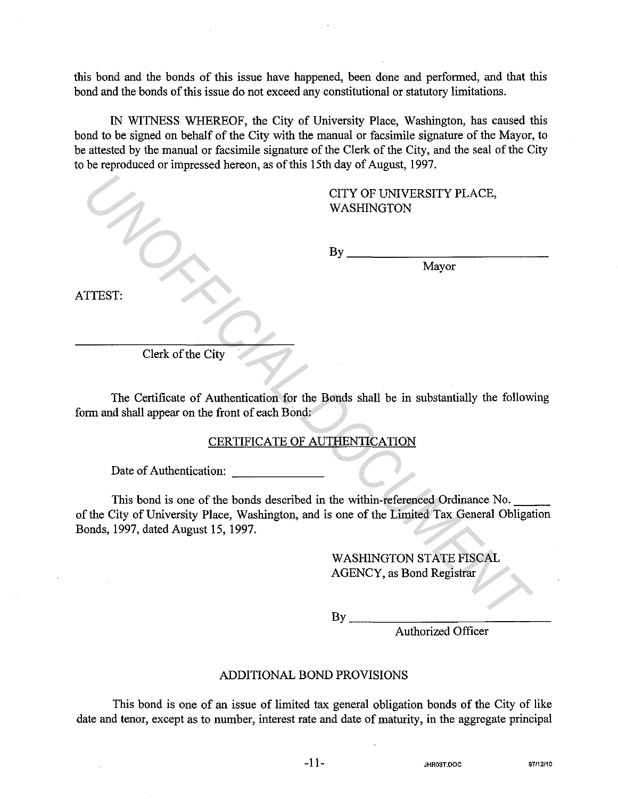this bond and the bonds of this issue have happened, been done and performed, and that this bond and the bonds of this issue do not exceed any constitutional or statutory limitations.

IN WITNESS WHEREOF, the City of University Place, Washington, has caused this bond to be signed on behalf of the City with the manual or facsimile signature of the Mayor, to be attested by the manual or facsimile signature of the Clerk of the City, and the seal of the City to be reproduced or impressed hereon, as of this 15th day of August, 1997.

|                                                  | CITY OF UNIVERSITY PLACE,<br>WASHINGTON                                                                                                                                         |
|--------------------------------------------------|---------------------------------------------------------------------------------------------------------------------------------------------------------------------------------|
|                                                  | $\mathbf{By}$<br>Mayor                                                                                                                                                          |
| ATTEST.                                          |                                                                                                                                                                                 |
|                                                  |                                                                                                                                                                                 |
| Clerk of the City                                |                                                                                                                                                                                 |
| form and shall appear on the front of each Bond: | The Certificate of Authentication for the Bonds shall be in substantially the following<br>CERTIFICATE OF AUTHENTICATION                                                        |
| Date of Authentication:                          |                                                                                                                                                                                 |
| Bonds, 1997, dated August 15, 1997.              | This bond is one of the bonds described in the within-referenced Ordinance No.<br>of the City of University Place, Washington, and is one of the Limited Tax General Obligation |
|                                                  | <b>WASHINGTON STATE FISCAL</b><br><b>AGENCY</b> , as Bond Registrar                                                                                                             |
|                                                  | By                                                                                                                                                                              |

# CERTIFICATE OF AUTHENTICATION

Authorized Officer

# ADDITIONAL BOND PROVISIONS

This bond is one of an issue of limited tax general obligation bonds of the City of like date and tenor, except as to number, interest rate and date of maturity, in the aggregate principal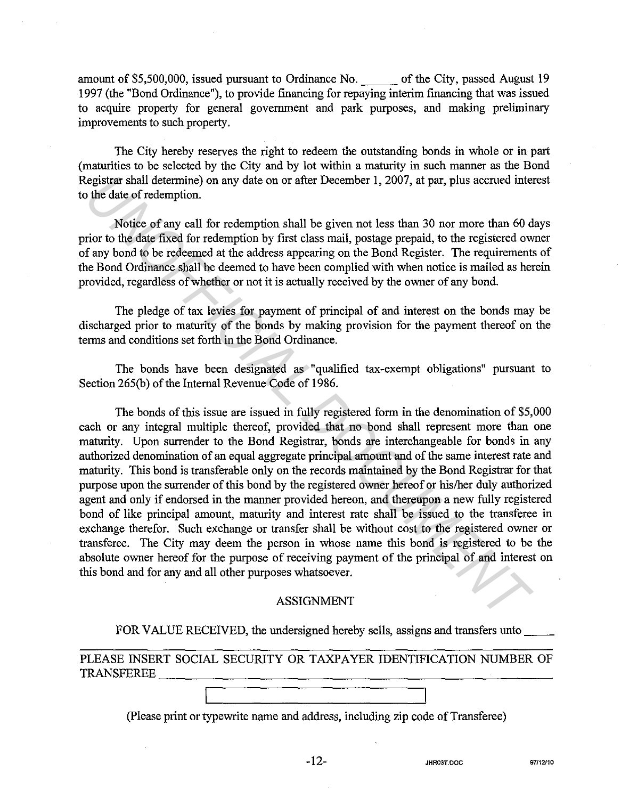amount of \$5,500,000, issued pursuant to Ordinance No. of the City, passed August 19 1997 (the "Bond Ordinance"), to provide financing for repaying interim financing that was issued to acquire property for general government and park purposes, and making preliminary improvements to such property.

The City hereby reserves the right to redeem the outstanding bonds in whole or in part (maturities to be selected by the City and by lot within a maturity in such manner as the Bond Registrar shall determine) on any date on or after December 1, 2007, at par, plus accrued interest to the date of redemption.

Notice of any call for redemption shall be given not less than 30 nor more than 60 days prior to the date fixed for redemption by first class mail, postage prepaid, to the registered owner of any bond to be redeemed at the address appearing on the Bond Register. The requirements of the Bond Ordinance shall be deemed to have been complied with when notice is mailed as herein provided, regardless of whether or not it is actually received by the owner of any bond.

The pledge of tax levies for payment of principal of and interest on the bonds may be discharged prior to maturity of the bonds by making provision for the payment thereof on the terms and conditions set forth in the Bond Ordinance.

The bonds have been designated as "qualified tax-exempt obligations" pursuant to Section 265(b) of the Internal Revenue Code of 1986.

The bonds of this issue are issued in fully registered form in the denomination of \$5,000 each or any integral multiple thereof, provided that no bond shall represent more than one maturity. Upon surrender to the Bond Registrar, bonds are interchangeable for bonds in any authorized denomination of an equal aggregate principal amount and of the same interest rate and maturity. This bond is transferable only on the records maintained by the Bond Registrar for that purpose upon the surrender of this bond by the registered owner hereof or his/her duly authorized agent and only if endorsed in the manner provided hereon, and thereupon a new fully registered bond of like principal amount, maturity and interest rate shall be issued to the transferee in exchange therefor. Such exchange or transfer shall be without cost to the registered owner or transferee. The City may deem the person in whose name this bond is registered to be the absolute owner hereof for the purpose of receiving payment of the principal of and interest on this bond and for any and all other purposes whatsoever. registrar shall determine) on any date on or after December 1, 2007, at par, plus accound inter<br>
the date of redemption shall be given not less than 30 nor more than 60 d<br>
Notice of any call for redemption shall be given n

#### ASSIGNMENT

FOR VALUE RECEIVED, the undersigned hereby sells, assigns and transfers unto

PLEASE INSERT SOCIAL SECURITY OR TAXPAYER IDENTIFICATION NUMBER OF TRANSFEREE\_~~~~~~~~~~~~~~~~~~~~~~~

(Please print or typewrite name and address, including zip code of Transferee)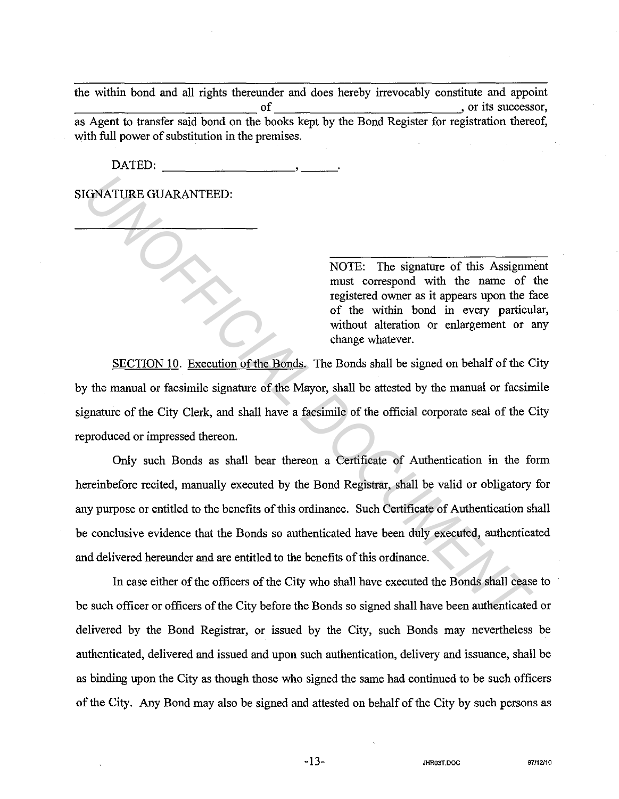the within bond and all rights thereunder and does hereby irrevocably constitute and appoint ~~~~~~~~~~~~~ of or its successor, as Agent to transfer said bond on the books kept by the Bond Register for registration thereof, with full power of substitution in the premises.

DATED:

SIGNATURE GUARANTEED:

NOTE: The signature of this Assignment must correspond with the name of the registered owner as it appears upon the face of the within bond in every particular, without alteration or enlargement or any change whatever.

SECTION 10. Execution of the Bonds. The Bonds shall be signed on behalf of the City by the manual or facsimile signature of the Mayor, shall be attested by the manual or facsimile signature of the City Clerk, and shall have a facsimile of the official corporate seal of the City reproduced or impressed thereon.

Only such Bonds as shall bear thereon a Certificate of Authentication in the form hereinbefore recited, manually executed by the Bond Registrar, shall be valid or obligatory for any purpose or entitled to the benefits of this ordinance. Such Certificate of Authentication shall be conclusive evidence that the Bonds so authenticated have been duly executed, authenticated and delivered hereunder and are entitled to the benefits of this ordinance. **INOTE:** The signature of this Assignm<br>
must correspond with the name of<br>
registered covers as it appears upon the files and<br>
registered covers as it appears upon the file<br>
of the within bond in every particu<br>
without alte

In case either of the officers of the City who shall have executed the Bonds shall cease to be such officer or officers of the City before the Bonds so signed shall have been authenticated or delivered by the Bond Registrar, or issued by the City, such Bonds may nevertheless be authenticated, delivered and issued and upon such authentication, delivery and issuance, shall be as binding upon the City as though those who signed the same had continued to be such officers of the City. Any Bond may also be signed and attested on behalf of the City by such persons as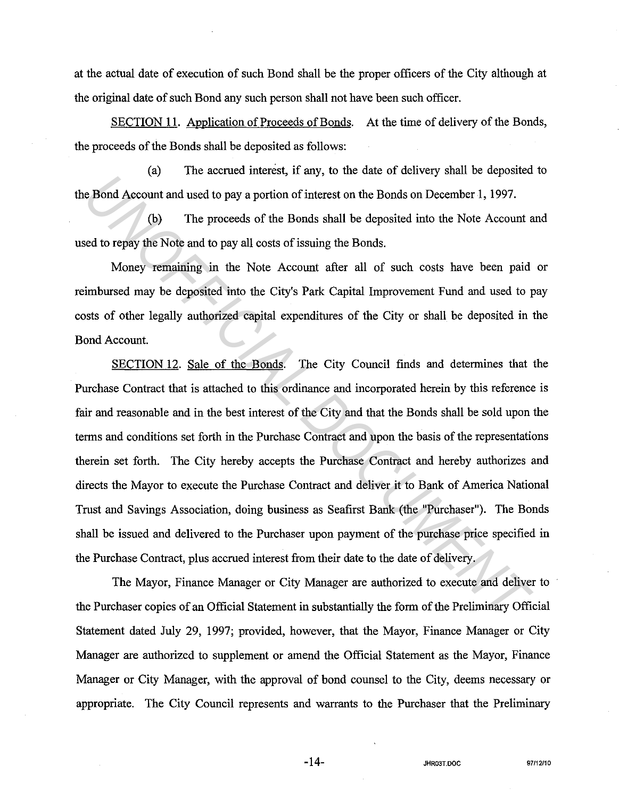at the actual date of execution of such Bond shall be the proper officers of the City although at the original date of such Bond any such person shall not have been such officer.

SECTION 11. Application of Proceeds of Bonds. At the time of delivery of the Bonds, the proceeds of the Bonds shall be deposited as follows:

(a) The accrued interest, if any, to the date of delivery shall be deposited to the Bond Account and used to pay a portion of interest on the Bonds on December 1, 1997.

(b) The proceeds of the Bonds shall be deposited into the Note Account and used to repay the Note and to pay all costs of issuing the Bonds.

Money remaining in the Note Account after all of such costs have been paid or reimbursed may be deposited into the City's Park Capital Improvement Fund and used to pay costs of other legally authorized capital expenditures of the City or shall be deposited in the Bond Account.

SECTION 12. Sale of the Bonds. The City Council finds and determines that the Purchase Contract that is attached to this ordinance and incorporated herein by this reference is fair and reasonable and in the best interest of the City and that the Bonds shall be sold upon the terms and conditions set forth in the Purchase Contract and upon the basis of the representations therein set forth. The City hereby accepts the Purchase Contract and hereby authorizes and directs the Mayor to execute the Purchase Contract and deliver it to Bank of America National Trust and Savings Association, doing business as Seafirst Bank (the "Purchaser"). The Bonds shall be issued and delivered to the Purchaser upon payment of the purchase price specified in the Purchase Contract, plus accrued interest from their date to the date of delivery. *Under the Bond Account and used to pay a portion of interests of the Bonds on December 1, 1997.*<br>
(b) The proceeds of the Bonds shall be deposited into the Note Account and to pay all costs of issuing the Bonds.<br>
Money re

The Mayor, Finance Manager or City Manager are authorized to execute and deliver to the Purchaser copies of an Official Statement in substantially the form of the Preliminary Official Statement dated July 29, 1997; provided, however, that the Mayor, Finance Manager or City Manager are authorized to supplement or amend the Official Statement as the Mayor, Finance Manager or City Manager, with the approval of bond counsel to the City, deems necessary or appropriate. The City Council represents and warrants to the Purchaser that the Preliminary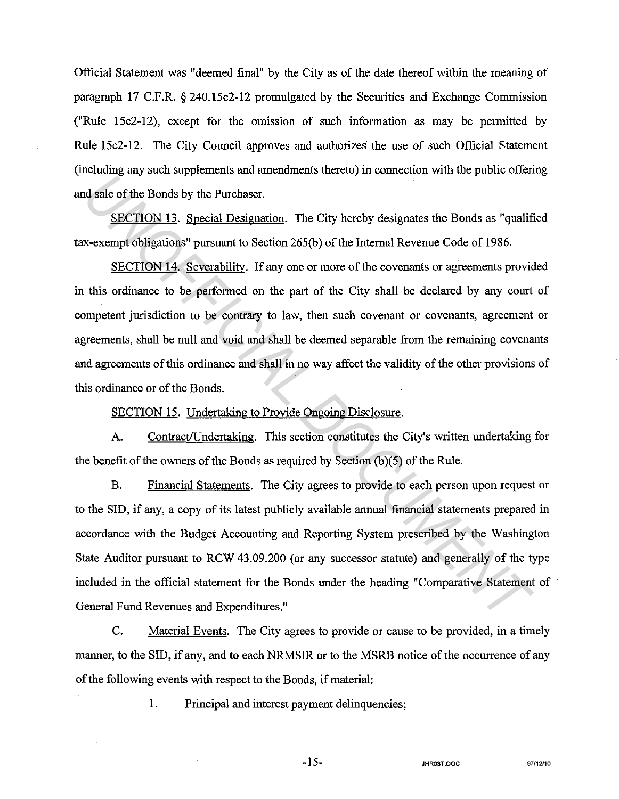Official Statement was "deemed final" by the City as of the date thereof within the meaning of paragraph 17 C.F.R. § 240.15c2-12 promulgated by the Securities and Exchange Commission ("Rule 15c2-12), except for the omission of such information as may be permitted by Rule l 5c2-12. The City Council approves and authorizes the use of such Official Statement (including any such supplements and amendments thereto) in connection with the public offering and sale of the Bonds by the Purchaser.

SECTION 13. Special Designation. The City hereby designates the Bonds as "qualified tax-exempt obligations" pursuant to Section 265(b) of the Internal Revenue Code of 1986.

SECTION 14. Severability. If any one or more of the covenants or agreements provided in this ordinance to be performed on the part of the City shall be declared by any court of competent jurisdiction to be contrary to law, then such covenant or covenants, agreement or agreements, shall be null and void and shall be deemed separable from the remaining covenants and agreements of this ordinance and shall in no way affect the validity of the other provisions of this ordinance or of the Bonds.

SECTION 15. Undertaking to Provide Ongoing Disclosure.

A. Contract/Undertaking. This section constitutes the City's written undertaking for the benefit of the owners of the Bonds as required by Section (b)(5) of the Rule.

B. Financial Statements. The City agrees to provide to each person upon request or to the SID, if any, a copy of its latest publicly available annual financial statements prepared in accordance with the Budget Accounting and Reporting System prescribed by the Washington State Auditor pursuant to RCW 43.09.200 (or any successor statute) and generally of the type included in the official statement for the Bonds under the heading "Comparative Statement of · General Fund Revenues and Expenditures." *Undertainment* and the Donds by the Purchaser.<br> **INCOFFICIAL DESCAL DESCAL DESCAL DESCAL DESCAL DESCAL DESCAL DESCAL DESCAL DESCAL DESCAL DESCAL DESCAL DESCAL<br>
INCOFFICIAL SEVERADILITY. If any one or more of the coverants** 

C. Material Events. The City agrees to provide or cause to be provided, in a timely manner, to the SID, if any, and to each NRMSIR or to the MSRB notice of the occurrence of any of the following events with respect to the Bonds, if material:

1. Principal and interest payment delinquencies;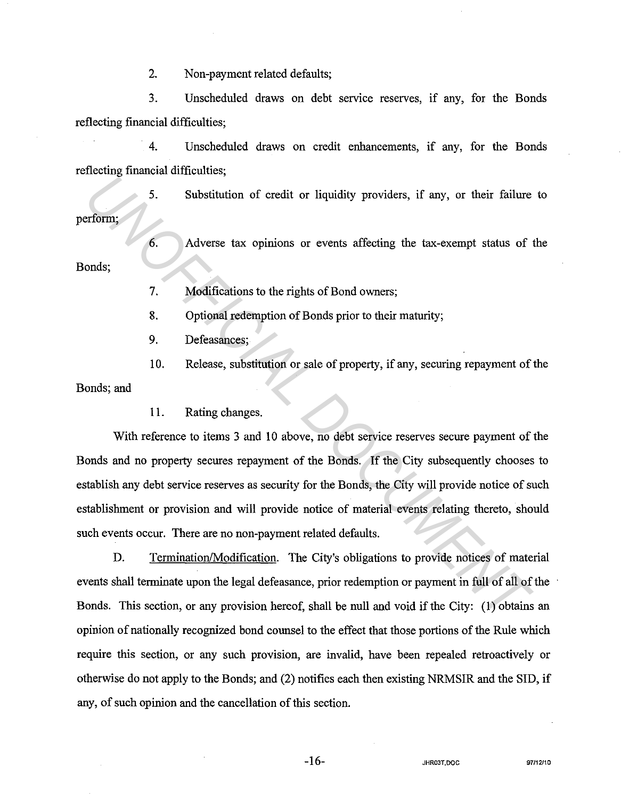2. Non-payment related defaults;

3. Unscheduled draws on debt service reserves, if any, for the Bonds reflecting financial difficulties;

4. Unscheduled draws on credit enhancements, if any, for the Bonds reflecting financial difficulties;

5. Substitution of credit or liquidity providers, if any, or their failure to perform;

6. Adverse tax opinions or events affecting the tax-exempt status of the Bonds;

7. Modifications to the rights of Bond owners;

8. Optional redemption of Bonds prior to their maturity;

9. Defeasances;

10. Release, substitution or sale of property, if any, securing repayment of the

Bonds; and

11. Rating changes.

With reference to items 3 and 10 above, no debt service reserves secure payment of the Bonds and no property secures repayment of the Bonds. If the City subsequently chooses to establish any debt service reserves as security for the Bonds, the City will provide notice of such establishment or provision and will provide notice of material events relating thereto, should such events occur. There are no non-payment related defaults. **Example 18 and 18 and 18 and 18 and 18 and 18 and 18 and 18 and 18 and 18 and 18 and 18 and 18 and 18 and 19 and 18 and 19 and 18 and 19 and 18 and 19 and 18 and 19 and 19 and 19 and 19 and 19 and 19 and 19 and 19 and 19** 

D. Termination/Modification. The City's obligations to provide notices of material events shall terminate upon the legal defeasance, prior redemption or payment in full of all of the Bonds. This section, or any provision hereof, shall be null and void if the City: (1) obtains an opinion of nationally recognized bond counsel to the effect that those portions of the Rule which require this section, or any such provision, are invalid, have been repealed retroactively or otherwise do not apply to the Bonds; and (2) notifies each then existing NRMSIR and the SID, if any, of such opinion and the cancellation of this section.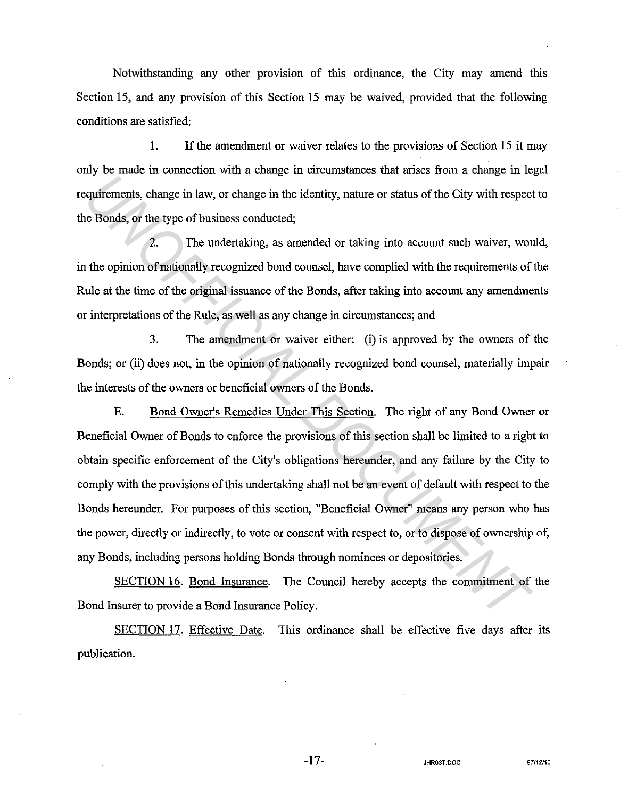Notwithstanding any other provision of this ordinance, the City may amend this Section 15, and any provision of this Section 15 may be waived, provided that the following conditions are satisfied:

1. If the amendment or waiver relates to the provisions of Section 15 it may only be made in connection with a change in circumstances that arises from a change in legal requirements, change in law, or change in the identity, nature or status of the City with respect to the Bonds, or the type of business conducted;

2. The undertaking, as amended or taking into account such waiver, would, in the opinion of nationally recognized bond counsel, have complied with the requirements of the Rule at the time of the original issuance of the Bonds, after taking into account any amendments or interpretations of the Rule, as well as any change in circumstances; and

3. The amendment or waiver either: (i) is approved by the owners of the Bonds; or (ii) does not, in the opinion of nationally recognized bond counsel, materially impair the interests of the owners or beneficial owners of the Bonds.

E. Bond Owner's Remedies Under This Section. The right of any Bond Owner or Beneficial Owner of Bonds to enforce the provisions of this section shall be limited to a right to obtain specific enforcement of the City's obligations hereunder, and any failure by the City to comply with the provisions of this undertaking shall not be an event of default with respect to the Bonds hereunder. For purposes of this section, "Beneficial Owner" means any person who has the power, directly or indirectly, to vote or consent with respect to, or to dispose of ownership of, any Bonds, including persons holding Bonds through nominees or depositories. **Example 18 The Alternative Constrainer Constrainer and The Properties Alternative points of the City with respect Bonds, or the type of business conducted;<br>
2. The undertaking, as anended or taking into account such waive** 

SECTION 16. Bond Insurance. The Council hereby accepts the commitment of the Bond Insurer to provide a Bond Insurance Policy.

SECTION 17. Effective Date. This ordinance shall be effective five days after its publication.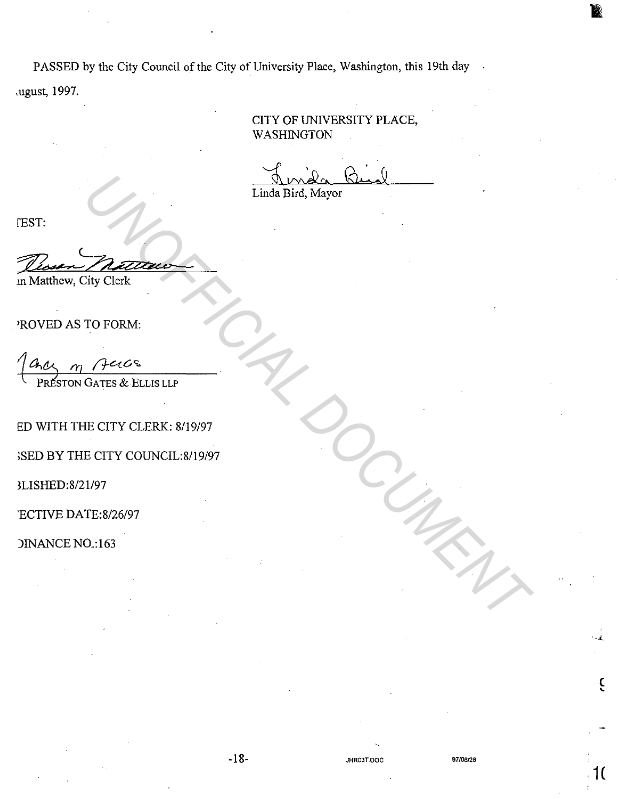PASSED by the City Council of the City of University Place, Washington, this 19th day

cugust, 1997.

CITY OF UNIVERSITY PLACE, WASHINGTON

Linda Bird, Mayor

**FEST:** 

Dessen Matteur m Matthew, City Clerk The Bird, Mayor<br>
Times Bird, Mayor<br>
To FORM:<br>
The CITY CLERK: 8/19/97<br>
E CITY COUNCIL:8/19/97<br>
FE CITY COUNCIL:8/19/97<br>
TE:8/26/97<br>
0.163<br>
0.163

'ROVED AS TO FORM:

ED WITH THE CITY CLERK: 8/19/97

>SED BY THE CITY COUNCIL:8/19/97

3LISHED:8/21/97

'ECTIVE DATE:8/26/97

)INANCE N0.:163

 $\hat{\epsilon}$ 

**1(**